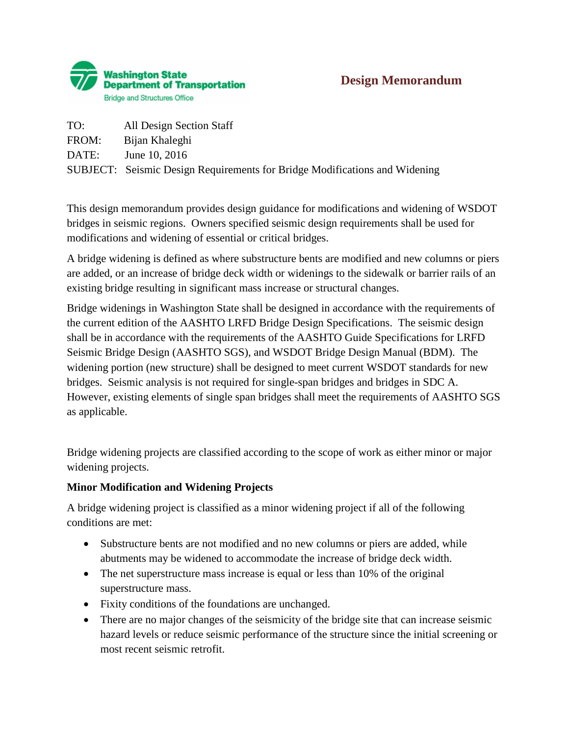

| TO:   | All Design Section Staff                                                          |
|-------|-----------------------------------------------------------------------------------|
| FROM: | Bijan Khaleghi                                                                    |
| DATE: | June 10, 2016                                                                     |
|       | <b>SUBJECT:</b> Seismic Design Requirements for Bridge Modifications and Widening |

This design memorandum provides design guidance for modifications and widening of WSDOT bridges in seismic regions. Owners specified seismic design requirements shall be used for modifications and widening of essential or critical bridges.

A bridge widening is defined as where substructure bents are modified and new columns or piers are added, or an increase of bridge deck width or widenings to the sidewalk or barrier rails of an existing bridge resulting in significant mass increase or structural changes.

Bridge widenings in Washington State shall be designed in accordance with the requirements of the current edition of the AASHTO LRFD Bridge Design Specifications. The seismic design shall be in accordance with the requirements of the AASHTO Guide Specifications for LRFD Seismic Bridge Design (AASHTO SGS), and WSDOT Bridge Design Manual (BDM). The widening portion (new structure) shall be designed to meet current WSDOT standards for new bridges. Seismic analysis is not required for single-span bridges and bridges in SDC A. However, existing elements of single span bridges shall meet the requirements of AASHTO SGS as applicable.

Bridge widening projects are classified according to the scope of work as either minor or major widening projects.

### **Minor Modification and Widening Projects**

A bridge widening project is classified as a minor widening project if all of the following conditions are met:

- Substructure bents are not modified and no new columns or piers are added, while abutments may be widened to accommodate the increase of bridge deck width.
- The net superstructure mass increase is equal or less than 10% of the original superstructure mass.
- Fixity conditions of the foundations are unchanged.
- There are no major changes of the seismicity of the bridge site that can increase seismic hazard levels or reduce seismic performance of the structure since the initial screening or most recent seismic retrofit.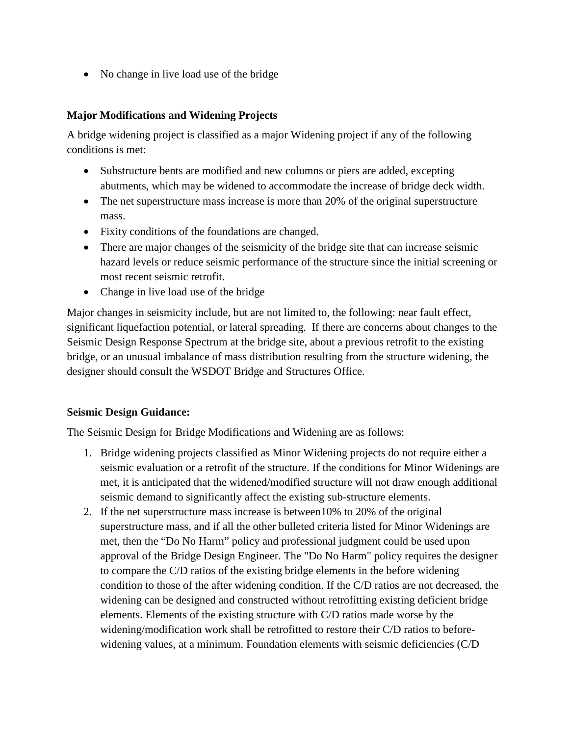• No change in live load use of the bridge

### **Major Modifications and Widening Projects**

A bridge widening project is classified as a major Widening project if any of the following conditions is met:

- Substructure bents are modified and new columns or piers are added, excepting abutments, which may be widened to accommodate the increase of bridge deck width.
- The net superstructure mass increase is more than 20% of the original superstructure mass.
- Fixity conditions of the foundations are changed.
- There are major changes of the seismicity of the bridge site that can increase seismic hazard levels or reduce seismic performance of the structure since the initial screening or most recent seismic retrofit.
- Change in live load use of the bridge

Major changes in seismicity include, but are not limited to, the following: near fault effect, significant liquefaction potential, or lateral spreading. If there are concerns about changes to the Seismic Design Response Spectrum at the bridge site, about a previous retrofit to the existing bridge, or an unusual imbalance of mass distribution resulting from the structure widening, the designer should consult the WSDOT Bridge and Structures Office.

### **Seismic Design Guidance:**

The Seismic Design for Bridge Modifications and Widening are as follows:

- 1. Bridge widening projects classified as Minor Widening projects do not require either a seismic evaluation or a retrofit of the structure. If the conditions for Minor Widenings are met, it is anticipated that the widened/modified structure will not draw enough additional seismic demand to significantly affect the existing sub-structure elements.
- 2. If the net superstructure mass increase is between10% to 20% of the original superstructure mass, and if all the other bulleted criteria listed for Minor Widenings are met, then the "Do No Harm" policy and professional judgment could be used upon approval of the Bridge Design Engineer. The "Do No Harm" policy requires the designer to compare the C/D ratios of the existing bridge elements in the before widening condition to those of the after widening condition. If the C/D ratios are not decreased, the widening can be designed and constructed without retrofitting existing deficient bridge elements. Elements of the existing structure with C/D ratios made worse by the widening/modification work shall be retrofitted to restore their C/D ratios to beforewidening values, at a minimum. Foundation elements with seismic deficiencies (C/D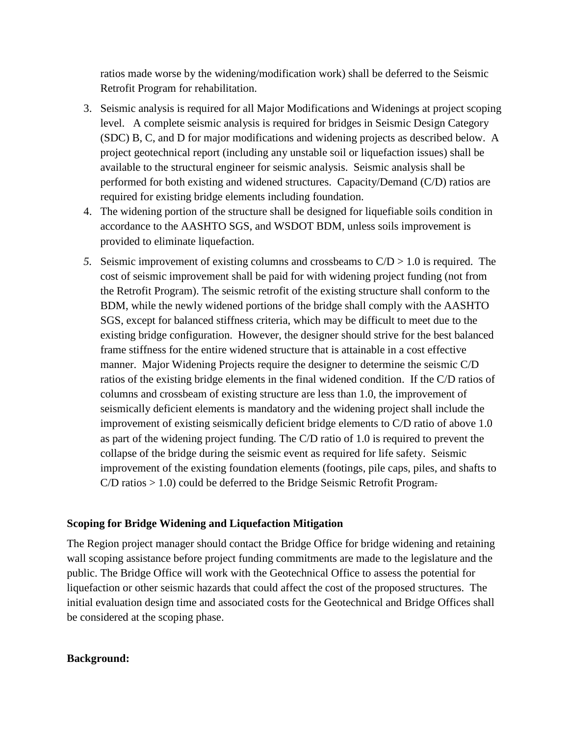ratios made worse by the widening/modification work) shall be deferred to the Seismic Retrofit Program for rehabilitation.

- 3. Seismic analysis is required for all Major Modifications and Widenings at project scoping level. A complete seismic analysis is required for bridges in Seismic Design Category (SDC) B, C, and D for major modifications and widening projects as described below. A project geotechnical report (including any unstable soil or liquefaction issues) shall be available to the structural engineer for seismic analysis. Seismic analysis shall be performed for both existing and widened structures. Capacity/Demand (C/D) ratios are required for existing bridge elements including foundation.
- 4. The widening portion of the structure shall be designed for liquefiable soils condition in accordance to the AASHTO SGS, and WSDOT BDM, unless soils improvement is provided to eliminate liquefaction.
- 5. Seismic improvement of existing columns and crossbeams to  $C/D > 1.0$  is required. The cost of seismic improvement shall be paid for with widening project funding (not from the Retrofit Program). The seismic retrofit of the existing structure shall conform to the BDM, while the newly widened portions of the bridge shall comply with the AASHTO SGS, except for balanced stiffness criteria, which may be difficult to meet due to the existing bridge configuration. However, the designer should strive for the best balanced frame stiffness for the entire widened structure that is attainable in a cost effective manner. Major Widening Projects require the designer to determine the seismic C/D ratios of the existing bridge elements in the final widened condition. If the C/D ratios of columns and crossbeam of existing structure are less than 1.0, the improvement of seismically deficient elements is mandatory and the widening project shall include the improvement of existing seismically deficient bridge elements to C/D ratio of above 1.0 as part of the widening project funding. The C/D ratio of 1.0 is required to prevent the collapse of the bridge during the seismic event as required for life safety. Seismic improvement of the existing foundation elements (footings, pile caps, piles, and shafts to  $C/D$  ratios  $> 1.0$ ) could be deferred to the Bridge Seismic Retrofit Program.

#### **Scoping for Bridge Widening and Liquefaction Mitigation**

The Region project manager should contact the Bridge Office for bridge widening and retaining wall scoping assistance before project funding commitments are made to the legislature and the public. The Bridge Office will work with the Geotechnical Office to assess the potential for liquefaction or other seismic hazards that could affect the cost of the proposed structures. The initial evaluation design time and associated costs for the Geotechnical and Bridge Offices shall be considered at the scoping phase.

#### **Background:**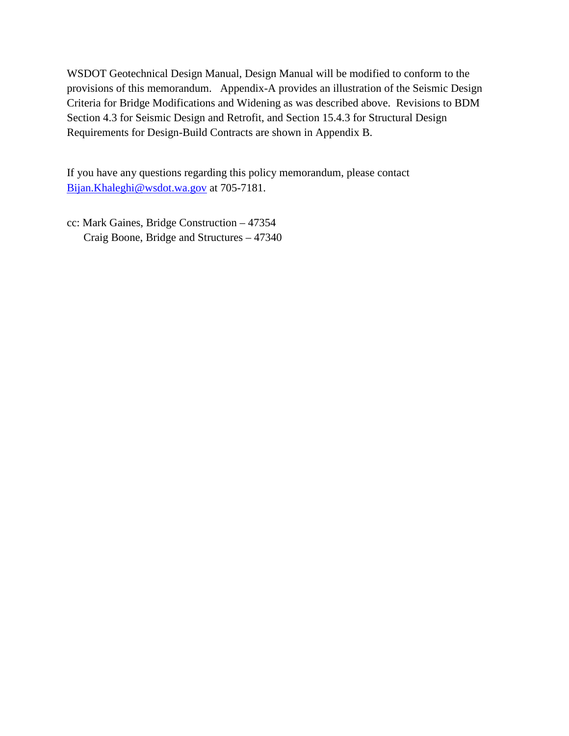WSDOT Geotechnical Design Manual, Design Manual will be modified to conform to the provisions of this memorandum. Appendix-A provides an illustration of the Seismic Design Criteria for Bridge Modifications and Widening as was described above. Revisions to BDM Section 4.3 for Seismic Design and Retrofit, and Section 15.4.3 for Structural Design Requirements for Design-Build Contracts are shown in Appendix B.

If you have any questions regarding this policy memorandum, please contact [Bijan.Khaleghi@wsdot.wa.gov](mailto:Bijan.Khaleghi@wsdot.wa.gov) at 705-7181.

cc: Mark Gaines, Bridge Construction – 47354 Craig Boone, Bridge and Structures – 47340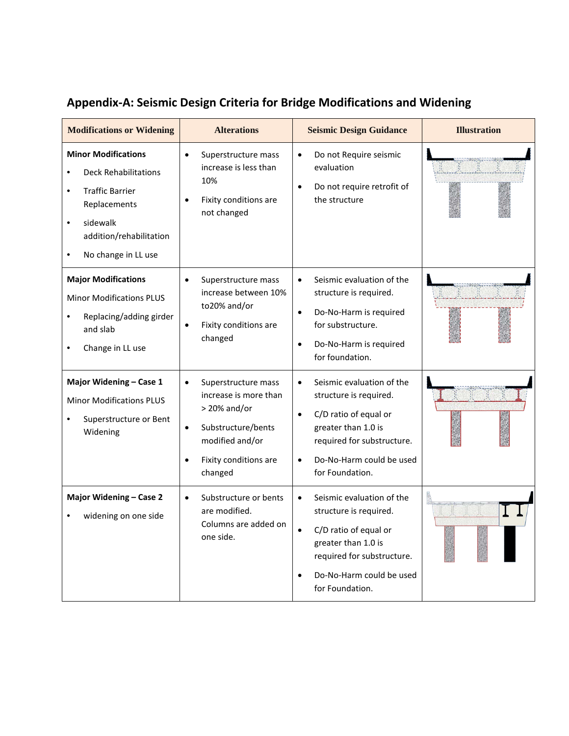| <b>Modifications or Widening</b>                                                                                                                                                                 | <b>Alterations</b>                                                                                                                                       | <b>Seismic Design Guidance</b>                                                                                                                                                                                          | <b>Illustration</b> |
|--------------------------------------------------------------------------------------------------------------------------------------------------------------------------------------------------|----------------------------------------------------------------------------------------------------------------------------------------------------------|-------------------------------------------------------------------------------------------------------------------------------------------------------------------------------------------------------------------------|---------------------|
| <b>Minor Modifications</b><br><b>Deck Rehabilitations</b><br>$\bullet$<br><b>Traffic Barrier</b><br>٠<br>Replacements<br>sidewalk<br>$\bullet$<br>addition/rehabilitation<br>No change in LL use | Superstructure mass<br>$\bullet$<br>increase is less than<br>10%<br>Fixity conditions are<br>not changed                                                 | Do not Require seismic<br>$\bullet$<br>evaluation<br>Do not require retrofit of<br>$\bullet$<br>the structure                                                                                                           |                     |
| <b>Major Modifications</b><br><b>Minor Modifications PLUS</b><br>Replacing/adding girder<br>and slab<br>Change in LL use                                                                         | Superstructure mass<br>increase between 10%<br>to20% and/or<br>Fixity conditions are<br>changed                                                          | Seismic evaluation of the<br>$\bullet$<br>structure is required.<br>Do-No-Harm is required<br>$\bullet$<br>for substructure.<br>Do-No-Harm is required<br>$\bullet$<br>for foundation.                                  |                     |
| Major Widening - Case 1<br><b>Minor Modifications PLUS</b><br>Superstructure or Bent<br>Widening                                                                                                 | Superstructure mass<br>increase is more than<br>$>$ 20% and/or<br>Substructure/bents<br>$\bullet$<br>modified and/or<br>Fixity conditions are<br>changed | Seismic evaluation of the<br>$\bullet$<br>structure is required.<br>C/D ratio of equal or<br>$\bullet$<br>greater than 1.0 is<br>required for substructure.<br>Do-No-Harm could be used<br>$\bullet$<br>for Foundation. |                     |
| Major Widening - Case 2<br>widening on one side                                                                                                                                                  | Substructure or bents<br>are modified.<br>Columns are added on<br>one side.                                                                              | Seismic evaluation of the<br>$\bullet$<br>structure is required.<br>C/D ratio of equal or<br>greater than 1.0 is<br>required for substructure.<br>Do-No-Harm could be used<br>$\bullet$<br>for Foundation.              |                     |

# **Appendix-A: Seismic Design Criteria for Bridge Modifications and Widening**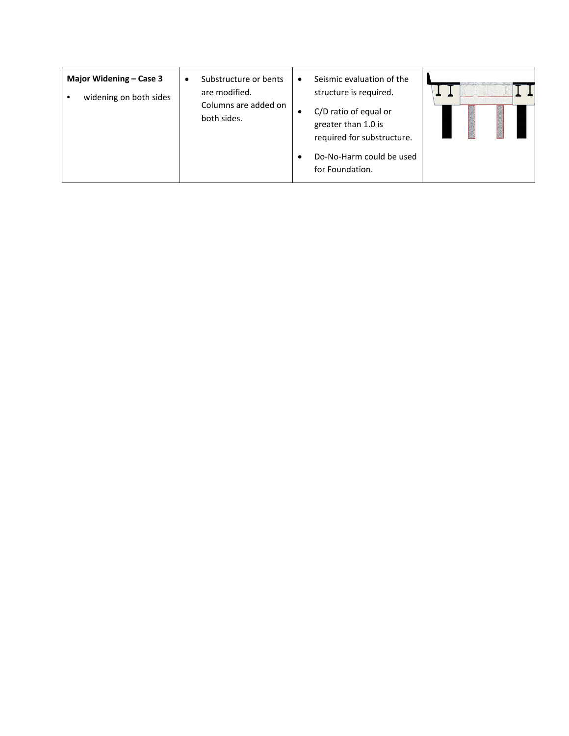| Major Widening – Case 3<br>widening on both sides | Substructure or bents<br>are modified.<br>Columns are added on<br>both sides. | Seismic evaluation of the<br>٠<br>structure is required.<br>C/D ratio of equal or<br>٠<br>greater than 1.0 is<br>required for substructure.<br>Do-No-Harm could be used<br>for Foundation. |  |
|---------------------------------------------------|-------------------------------------------------------------------------------|--------------------------------------------------------------------------------------------------------------------------------------------------------------------------------------------|--|
|---------------------------------------------------|-------------------------------------------------------------------------------|--------------------------------------------------------------------------------------------------------------------------------------------------------------------------------------------|--|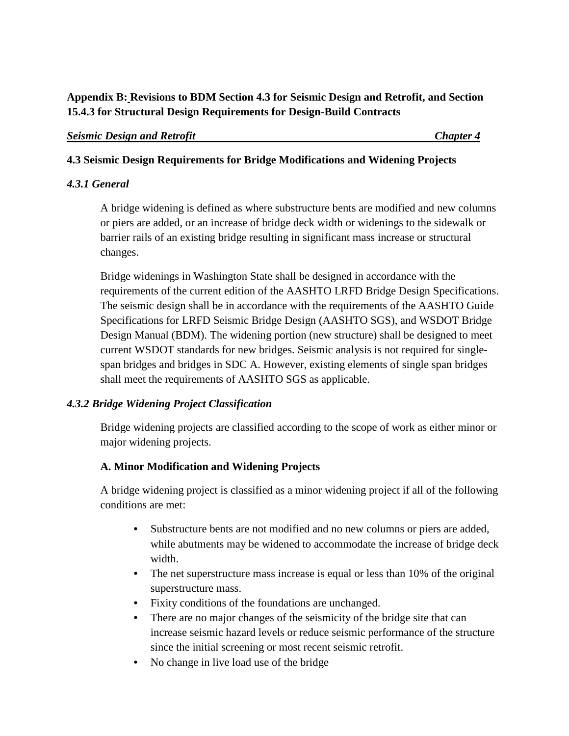# **Appendix B: Revisions to BDM Section 4.3 for Seismic Design and Retrofit, and Section 15.4.3 for Structural Design Requirements for Design-Build Contracts**

#### *Seismic Design and Retrofit Chapter 4*

## **4.3 Seismic Design Requirements for Bridge Modifications and Widening Projects**

## *4.3.1 General*

A bridge widening is defined as where substructure bents are modified and new columns or piers are added, or an increase of bridge deck width or widenings to the sidewalk or barrier rails of an existing bridge resulting in significant mass increase or structural changes.

Bridge widenings in Washington State shall be designed in accordance with the requirements of the current edition of the AASHTO LRFD Bridge Design Specifications. The seismic design shall be in accordance with the requirements of the AASHTO Guide Specifications for LRFD Seismic Bridge Design (AASHTO SGS), and WSDOT Bridge Design Manual (BDM). The widening portion (new structure) shall be designed to meet current WSDOT standards for new bridges. Seismic analysis is not required for singlespan bridges and bridges in SDC A. However, existing elements of single span bridges shall meet the requirements of AASHTO SGS as applicable.

# *4.3.2 Bridge Widening Project Classification*

Bridge widening projects are classified according to the scope of work as either minor or major widening projects.

# **A. Minor Modification and Widening Projects**

A bridge widening project is classified as a minor widening project if all of the following conditions are met:

- Substructure bents are not modified and no new columns or piers are added, while abutments may be widened to accommodate the increase of bridge deck width.
- The net superstructure mass increase is equal or less than 10% of the original superstructure mass.
- Fixity conditions of the foundations are unchanged.
- There are no major changes of the seismicity of the bridge site that can increase seismic hazard levels or reduce seismic performance of the structure since the initial screening or most recent seismic retrofit.
- No change in live load use of the bridge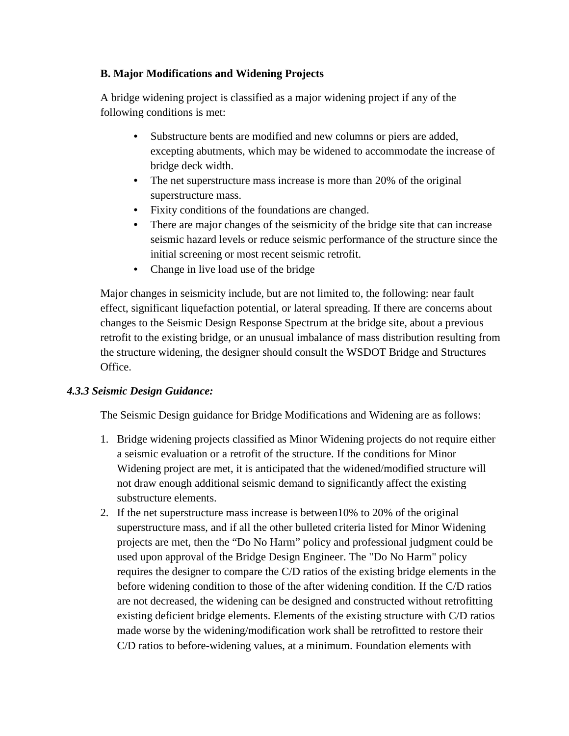## **B. Major Modifications and Widening Projects**

A bridge widening project is classified as a major widening project if any of the following conditions is met:

- Substructure bents are modified and new columns or piers are added, excepting abutments, which may be widened to accommodate the increase of bridge deck width.
- The net superstructure mass increase is more than 20% of the original superstructure mass.
- Fixity conditions of the foundations are changed.
- There are major changes of the seismicity of the bridge site that can increase seismic hazard levels or reduce seismic performance of the structure since the initial screening or most recent seismic retrofit.
- Change in live load use of the bridge

Major changes in seismicity include, but are not limited to, the following: near fault effect, significant liquefaction potential, or lateral spreading. If there are concerns about changes to the Seismic Design Response Spectrum at the bridge site, about a previous retrofit to the existing bridge, or an unusual imbalance of mass distribution resulting from the structure widening, the designer should consult the WSDOT Bridge and Structures Office.

# *4.3.3 Seismic Design Guidance:*

The Seismic Design guidance for Bridge Modifications and Widening are as follows:

- 1. Bridge widening projects classified as Minor Widening projects do not require either a seismic evaluation or a retrofit of the structure. If the conditions for Minor Widening project are met, it is anticipated that the widened/modified structure will not draw enough additional seismic demand to significantly affect the existing substructure elements.
- 2. If the net superstructure mass increase is between10% to 20% of the original superstructure mass, and if all the other bulleted criteria listed for Minor Widening projects are met, then the "Do No Harm" policy and professional judgment could be used upon approval of the Bridge Design Engineer. The "Do No Harm" policy requires the designer to compare the C/D ratios of the existing bridge elements in the before widening condition to those of the after widening condition. If the C/D ratios are not decreased, the widening can be designed and constructed without retrofitting existing deficient bridge elements. Elements of the existing structure with C/D ratios made worse by the widening/modification work shall be retrofitted to restore their C/D ratios to before-widening values, at a minimum. Foundation elements with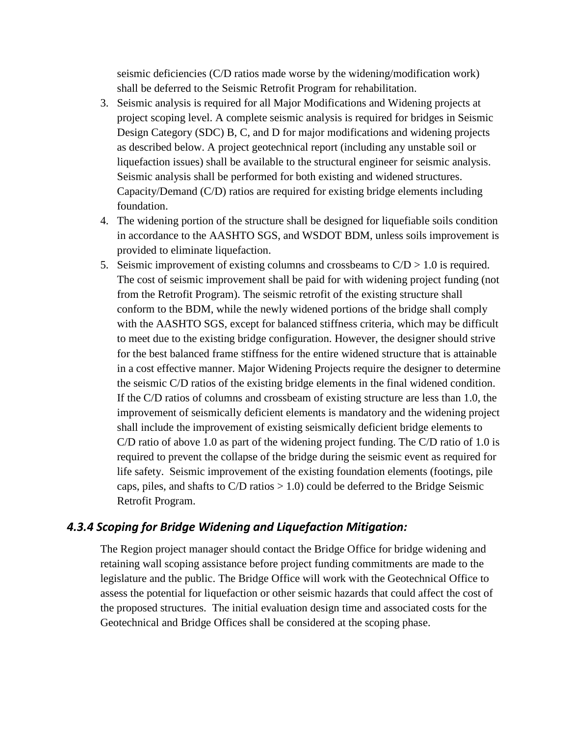seismic deficiencies (C/D ratios made worse by the widening/modification work) shall be deferred to the Seismic Retrofit Program for rehabilitation.

- 3. Seismic analysis is required for all Major Modifications and Widening projects at project scoping level. A complete seismic analysis is required for bridges in Seismic Design Category (SDC) B, C, and D for major modifications and widening projects as described below. A project geotechnical report (including any unstable soil or liquefaction issues) shall be available to the structural engineer for seismic analysis. Seismic analysis shall be performed for both existing and widened structures. Capacity/Demand (C/D) ratios are required for existing bridge elements including foundation.
- 4. The widening portion of the structure shall be designed for liquefiable soils condition in accordance to the AASHTO SGS, and WSDOT BDM, unless soils improvement is provided to eliminate liquefaction.
- 5. Seismic improvement of existing columns and crossbeams to  $C/D > 1.0$  is required. The cost of seismic improvement shall be paid for with widening project funding (not from the Retrofit Program). The seismic retrofit of the existing structure shall conform to the BDM, while the newly widened portions of the bridge shall comply with the AASHTO SGS, except for balanced stiffness criteria, which may be difficult to meet due to the existing bridge configuration. However, the designer should strive for the best balanced frame stiffness for the entire widened structure that is attainable in a cost effective manner. Major Widening Projects require the designer to determine the seismic C/D ratios of the existing bridge elements in the final widened condition. If the C/D ratios of columns and crossbeam of existing structure are less than 1.0, the improvement of seismically deficient elements is mandatory and the widening project shall include the improvement of existing seismically deficient bridge elements to C/D ratio of above 1.0 as part of the widening project funding. The C/D ratio of 1.0 is required to prevent the collapse of the bridge during the seismic event as required for life safety. Seismic improvement of the existing foundation elements (footings, pile caps, piles, and shafts to  $C/D$  ratios  $> 1.0$ ) could be deferred to the Bridge Seismic Retrofit Program.

### *4.3.4 Scoping for Bridge Widening and Liquefaction Mitigation:*

The Region project manager should contact the Bridge Office for bridge widening and retaining wall scoping assistance before project funding commitments are made to the legislature and the public. The Bridge Office will work with the Geotechnical Office to assess the potential for liquefaction or other seismic hazards that could affect the cost of the proposed structures. The initial evaluation design time and associated costs for the Geotechnical and Bridge Offices shall be considered at the scoping phase.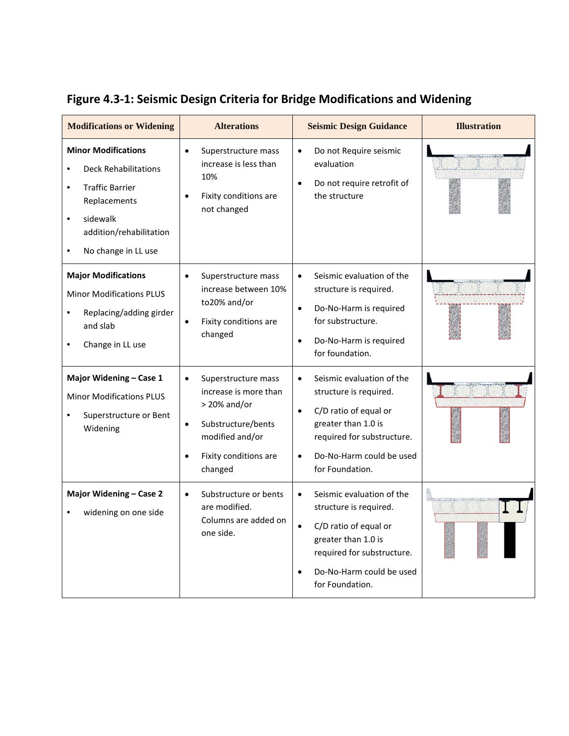| <b>Modifications or Widening</b>                                                                                                                                                            | <b>Alterations</b>                                                                                                                                                    | <b>Seismic Design Guidance</b>                                                                                                                                                                                          | <b>Illustration</b> |
|---------------------------------------------------------------------------------------------------------------------------------------------------------------------------------------------|-----------------------------------------------------------------------------------------------------------------------------------------------------------------------|-------------------------------------------------------------------------------------------------------------------------------------------------------------------------------------------------------------------------|---------------------|
| <b>Minor Modifications</b><br><b>Deck Rehabilitations</b><br><b>Traffic Barrier</b><br>$\bullet$<br>Replacements<br>sidewalk<br>$\bullet$<br>addition/rehabilitation<br>No change in LL use | Superstructure mass<br>$\bullet$<br>increase is less than<br>10%<br>Fixity conditions are<br>not changed                                                              | Do not Require seismic<br>$\bullet$<br>evaluation<br>Do not require retrofit of<br>$\bullet$<br>the structure                                                                                                           |                     |
| <b>Major Modifications</b><br><b>Minor Modifications PLUS</b><br>Replacing/adding girder<br>and slab<br>Change in LL use                                                                    | Superstructure mass<br>increase between 10%<br>to20% and/or<br>Fixity conditions are<br>$\bullet$<br>changed                                                          | Seismic evaluation of the<br>$\bullet$<br>structure is required.<br>Do-No-Harm is required<br>$\bullet$<br>for substructure.<br>Do-No-Harm is required<br>$\bullet$<br>for foundation.                                  |                     |
| Major Widening - Case 1<br><b>Minor Modifications PLUS</b><br>Superstructure or Bent<br>Widening                                                                                            | Superstructure mass<br>increase is more than<br>$>$ 20% and/or<br>Substructure/bents<br>$\bullet$<br>modified and/or<br>Fixity conditions are<br>$\bullet$<br>changed | Seismic evaluation of the<br>$\bullet$<br>structure is required.<br>C/D ratio of equal or<br>$\bullet$<br>greater than 1.0 is<br>required for substructure.<br>Do-No-Harm could be used<br>$\bullet$<br>for Foundation. |                     |
| Major Widening - Case 2<br>widening on one side                                                                                                                                             | Substructure or bents<br>$\bullet$<br>are modified.<br>Columns are added on<br>one side.                                                                              | Seismic evaluation of the<br>structure is required.<br>C/D ratio of equal or<br>greater than 1.0 is<br>required for substructure.<br>Do-No-Harm could be used<br>$\bullet$<br>for Foundation.                           |                     |

# **Figure 4.3-1: Seismic Design Criteria for Bridge Modifications and Widening**